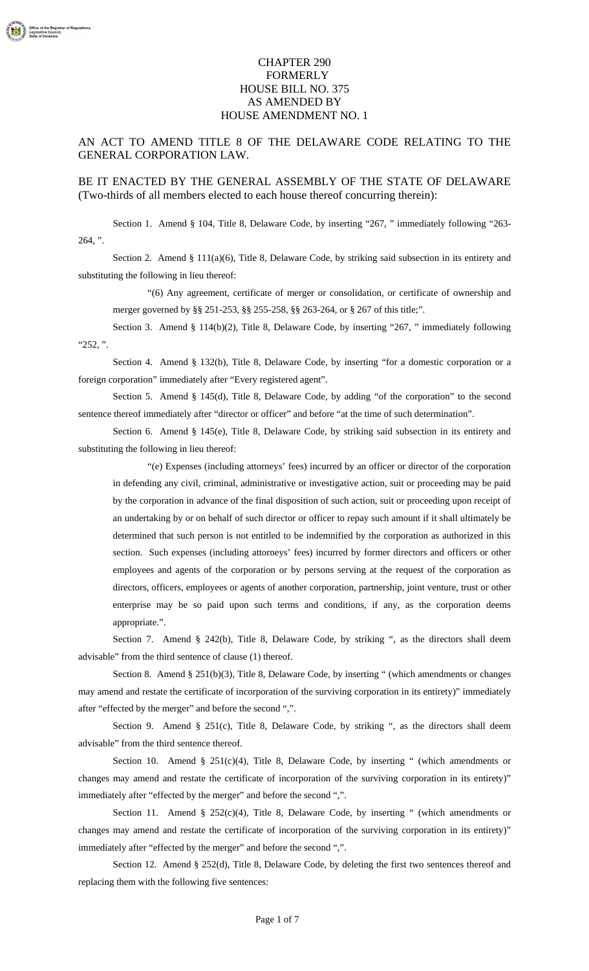## CHAPTER 290 FORMERLY HOUSE BILL NO. 375 AS AMENDED BY HOUSE AMENDMENT NO. 1

## AN ACT TO AMEND TITLE 8 OF THE DELAWARE CODE RELATING TO THE GENERAL CORPORATION LAW.

## BE IT ENACTED BY THE GENERAL ASSEMBLY OF THE STATE OF DELAWARE (Two-thirds of all members elected to each house thereof concurring therein):

Section 1. Amend § 104, Title 8, Delaware Code, by inserting "267, " immediately following "263-  $264, "$ .

Section 2. Amend § 111(a)(6), Title 8, Delaware Code, by striking said subsection in its entirety and substituting the following in lieu thereof:

"(6) Any agreement, certificate of merger or consolidation, or certificate of ownership and merger governed by §§ 251-253, §§ 255-258, §§ 263-264, or § 267 of this title;".

Section 3. Amend § 114(b)(2), Title 8, Delaware Code, by inserting "267, " immediately following "252, ".

Section 4. Amend § 132(b), Title 8, Delaware Code, by inserting "for a domestic corporation or a foreign corporation" immediately after "Every registered agent".

Section 5. Amend § 145(d), Title 8, Delaware Code, by adding "of the corporation" to the second sentence thereof immediately after "director or officer" and before "at the time of such determination".

Section 6. Amend § 145(e), Title 8, Delaware Code, by striking said subsection in its entirety and substituting the following in lieu thereof:

"(e) Expenses (including attorneys' fees) incurred by an officer or director of the corporation in defending any civil, criminal, administrative or investigative action, suit or proceeding may be paid by the corporation in advance of the final disposition of such action, suit or proceeding upon receipt of an undertaking by or on behalf of such director or officer to repay such amount if it shall ultimately be determined that such person is not entitled to be indemnified by the corporation as authorized in this section. Such expenses (including attorneys' fees) incurred by former directors and officers or other employees and agents of the corporation or by persons serving at the request of the corporation as directors, officers, employees or agents of another corporation, partnership, joint venture, trust or other enterprise may be so paid upon such terms and conditions, if any, as the corporation deems appropriate.".

Section 7. Amend § 242(b), Title 8, Delaware Code, by striking ", as the directors shall deem advisable" from the third sentence of clause (1) thereof.

Section 8. Amend § 251(b)(3), Title 8, Delaware Code, by inserting " (which amendments or changes may amend and restate the certificate of incorporation of the surviving corporation in its entirety)" immediately after "effected by the merger" and before the second ",".

Section 9. Amend § 251(c), Title 8, Delaware Code, by striking ", as the directors shall deem advisable" from the third sentence thereof.

Section 10. Amend §  $251(c)(4)$ , Title 8, Delaware Code, by inserting " (which amendments or changes may amend and restate the certificate of incorporation of the surviving corporation in its entirety)" immediately after "effected by the merger" and before the second ",".

Section 11. Amend § 252(c)(4), Title 8, Delaware Code, by inserting " (which amendments or changes may amend and restate the certificate of incorporation of the surviving corporation in its entirety)" immediately after "effected by the merger" and before the second ",".

Section 12. Amend § 252(d), Title 8, Delaware Code, by deleting the first two sentences thereof and replacing them with the following five sentences: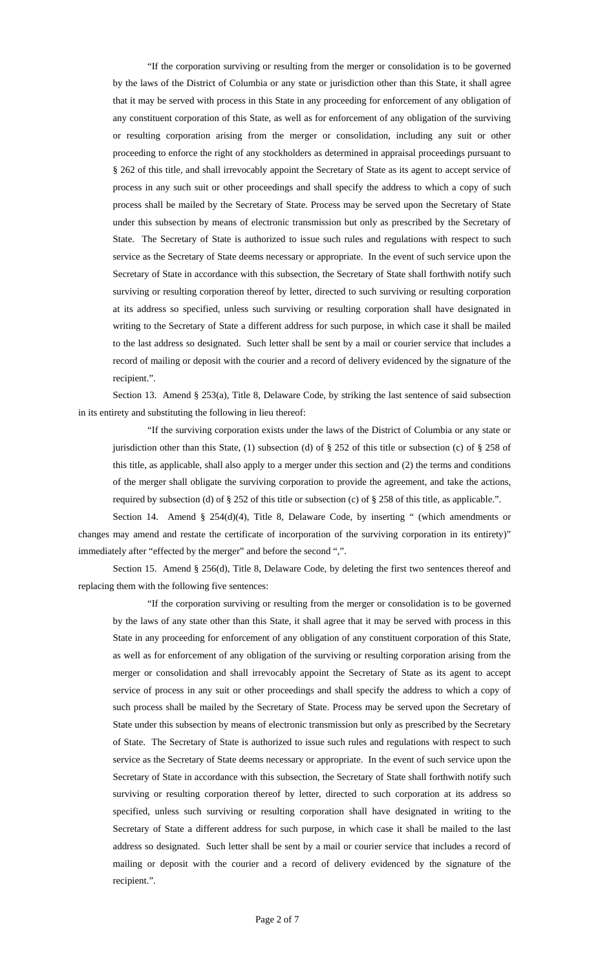"If the corporation surviving or resulting from the merger or consolidation is to be governed by the laws of the District of Columbia or any state or jurisdiction other than this State, it shall agree that it may be served with process in this State in any proceeding for enforcement of any obligation of any constituent corporation of this State, as well as for enforcement of any obligation of the surviving or resulting corporation arising from the merger or consolidation, including any suit or other proceeding to enforce the right of any stockholders as determined in appraisal proceedings pursuant to § 262 of this title, and shall irrevocably appoint the Secretary of State as its agent to accept service of process in any such suit or other proceedings and shall specify the address to which a copy of such process shall be mailed by the Secretary of State. Process may be served upon the Secretary of State under this subsection by means of electronic transmission but only as prescribed by the Secretary of State. The Secretary of State is authorized to issue such rules and regulations with respect to such service as the Secretary of State deems necessary or appropriate. In the event of such service upon the Secretary of State in accordance with this subsection, the Secretary of State shall forthwith notify such surviving or resulting corporation thereof by letter, directed to such surviving or resulting corporation at its address so specified, unless such surviving or resulting corporation shall have designated in writing to the Secretary of State a different address for such purpose, in which case it shall be mailed to the last address so designated. Such letter shall be sent by a mail or courier service that includes a record of mailing or deposit with the courier and a record of delivery evidenced by the signature of the recipient.".

Section 13. Amend § 253(a), Title 8, Delaware Code, by striking the last sentence of said subsection in its entirety and substituting the following in lieu thereof:

"If the surviving corporation exists under the laws of the District of Columbia or any state or jurisdiction other than this State, (1) subsection (d) of § 252 of this title or subsection (c) of § 258 of this title, as applicable, shall also apply to a merger under this section and (2) the terms and conditions of the merger shall obligate the surviving corporation to provide the agreement, and take the actions, required by subsection (d) of  $\S 252$  of this title or subsection (c) of  $\S 258$  of this title, as applicable.".

Section 14. Amend § 254(d)(4), Title 8, Delaware Code, by inserting " (which amendments or changes may amend and restate the certificate of incorporation of the surviving corporation in its entirety)" immediately after "effected by the merger" and before the second ",".

Section 15. Amend § 256(d), Title 8, Delaware Code, by deleting the first two sentences thereof and replacing them with the following five sentences:

"If the corporation surviving or resulting from the merger or consolidation is to be governed by the laws of any state other than this State, it shall agree that it may be served with process in this State in any proceeding for enforcement of any obligation of any constituent corporation of this State, as well as for enforcement of any obligation of the surviving or resulting corporation arising from the merger or consolidation and shall irrevocably appoint the Secretary of State as its agent to accept service of process in any suit or other proceedings and shall specify the address to which a copy of such process shall be mailed by the Secretary of State. Process may be served upon the Secretary of State under this subsection by means of electronic transmission but only as prescribed by the Secretary of State. The Secretary of State is authorized to issue such rules and regulations with respect to such service as the Secretary of State deems necessary or appropriate. In the event of such service upon the Secretary of State in accordance with this subsection, the Secretary of State shall forthwith notify such surviving or resulting corporation thereof by letter, directed to such corporation at its address so specified, unless such surviving or resulting corporation shall have designated in writing to the Secretary of State a different address for such purpose, in which case it shall be mailed to the last address so designated. Such letter shall be sent by a mail or courier service that includes a record of mailing or deposit with the courier and a record of delivery evidenced by the signature of the recipient.".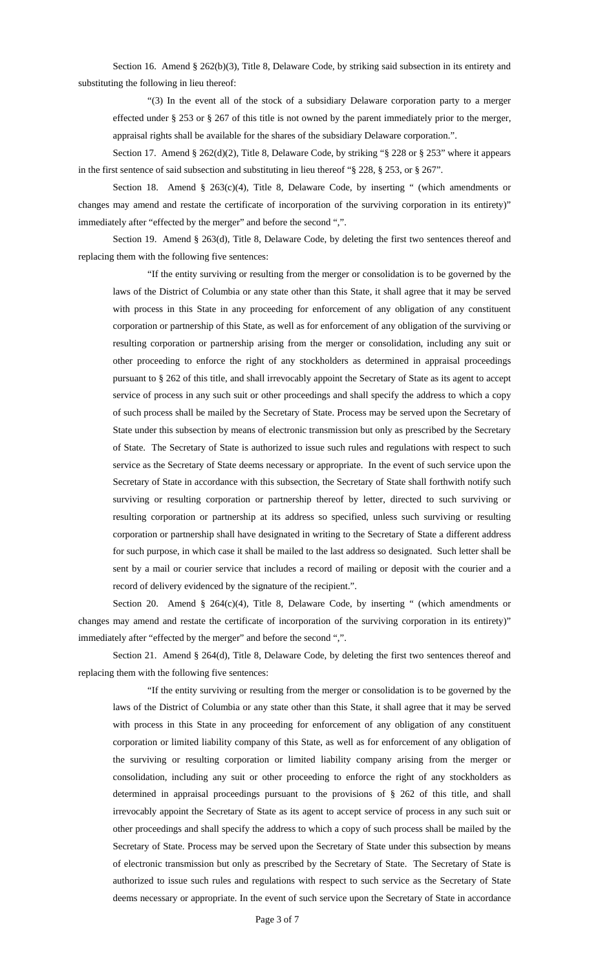Section 16. Amend § 262(b)(3), Title 8, Delaware Code, by striking said subsection in its entirety and substituting the following in lieu thereof:

"(3) In the event all of the stock of a subsidiary Delaware corporation party to a merger effected under § 253 or § 267 of this title is not owned by the parent immediately prior to the merger, appraisal rights shall be available for the shares of the subsidiary Delaware corporation.".

Section 17. Amend § 262(d)(2), Title 8, Delaware Code, by striking "§ 228 or § 253" where it appears in the first sentence of said subsection and substituting in lieu thereof "§ 228, § 253, or § 267".

Section 18. Amend § 263(c)(4), Title 8, Delaware Code, by inserting " (which amendments or changes may amend and restate the certificate of incorporation of the surviving corporation in its entirety)" immediately after "effected by the merger" and before the second ",".

Section 19. Amend § 263(d), Title 8, Delaware Code, by deleting the first two sentences thereof and replacing them with the following five sentences:

"If the entity surviving or resulting from the merger or consolidation is to be governed by the laws of the District of Columbia or any state other than this State, it shall agree that it may be served with process in this State in any proceeding for enforcement of any obligation of any constituent corporation or partnership of this State, as well as for enforcement of any obligation of the surviving or resulting corporation or partnership arising from the merger or consolidation, including any suit or other proceeding to enforce the right of any stockholders as determined in appraisal proceedings pursuant to § 262 of this title, and shall irrevocably appoint the Secretary of State as its agent to accept service of process in any such suit or other proceedings and shall specify the address to which a copy of such process shall be mailed by the Secretary of State. Process may be served upon the Secretary of State under this subsection by means of electronic transmission but only as prescribed by the Secretary of State. The Secretary of State is authorized to issue such rules and regulations with respect to such service as the Secretary of State deems necessary or appropriate. In the event of such service upon the Secretary of State in accordance with this subsection, the Secretary of State shall forthwith notify such surviving or resulting corporation or partnership thereof by letter, directed to such surviving or resulting corporation or partnership at its address so specified, unless such surviving or resulting corporation or partnership shall have designated in writing to the Secretary of State a different address for such purpose, in which case it shall be mailed to the last address so designated. Such letter shall be sent by a mail or courier service that includes a record of mailing or deposit with the courier and a record of delivery evidenced by the signature of the recipient.".

Section 20. Amend § 264(c)(4), Title 8, Delaware Code, by inserting " (which amendments or changes may amend and restate the certificate of incorporation of the surviving corporation in its entirety)" immediately after "effected by the merger" and before the second ",".

Section 21. Amend § 264(d), Title 8, Delaware Code, by deleting the first two sentences thereof and replacing them with the following five sentences:

"If the entity surviving or resulting from the merger or consolidation is to be governed by the laws of the District of Columbia or any state other than this State, it shall agree that it may be served with process in this State in any proceeding for enforcement of any obligation of any constituent corporation or limited liability company of this State, as well as for enforcement of any obligation of the surviving or resulting corporation or limited liability company arising from the merger or consolidation, including any suit or other proceeding to enforce the right of any stockholders as determined in appraisal proceedings pursuant to the provisions of § 262 of this title, and shall irrevocably appoint the Secretary of State as its agent to accept service of process in any such suit or other proceedings and shall specify the address to which a copy of such process shall be mailed by the Secretary of State. Process may be served upon the Secretary of State under this subsection by means of electronic transmission but only as prescribed by the Secretary of State. The Secretary of State is authorized to issue such rules and regulations with respect to such service as the Secretary of State deems necessary or appropriate. In the event of such service upon the Secretary of State in accordance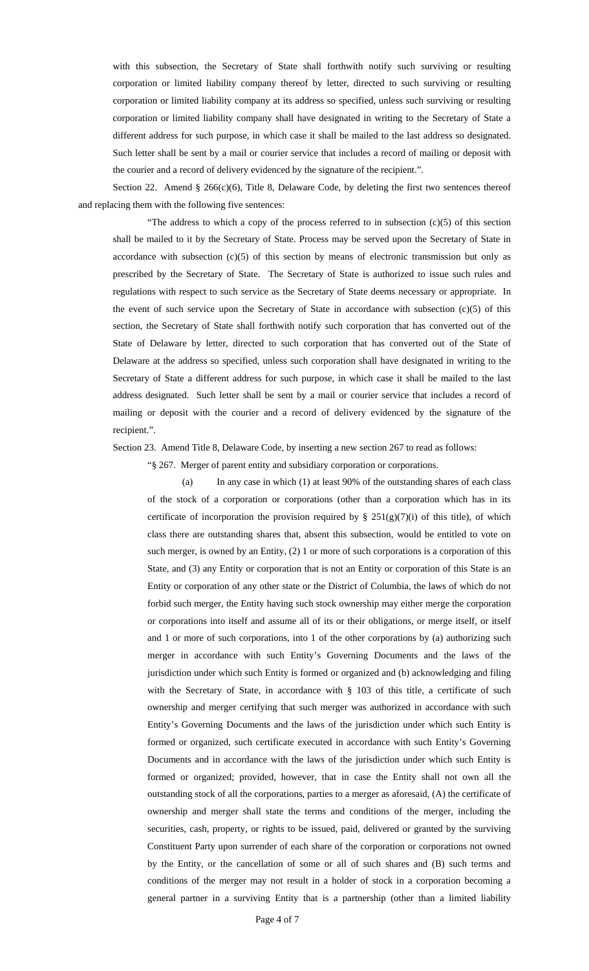with this subsection, the Secretary of State shall forthwith notify such surviving or resulting corporation or limited liability company thereof by letter, directed to such surviving or resulting corporation or limited liability company at its address so specified, unless such surviving or resulting corporation or limited liability company shall have designated in writing to the Secretary of State a different address for such purpose, in which case it shall be mailed to the last address so designated. Such letter shall be sent by a mail or courier service that includes a record of mailing or deposit with the courier and a record of delivery evidenced by the signature of the recipient.".

Section 22. Amend § 266(c)(6), Title 8, Delaware Code, by deleting the first two sentences thereof and replacing them with the following five sentences:

"The address to which a copy of the process referred to in subsection  $(c)(5)$  of this section shall be mailed to it by the Secretary of State. Process may be served upon the Secretary of State in accordance with subsection  $(c)(5)$  of this section by means of electronic transmission but only as prescribed by the Secretary of State. The Secretary of State is authorized to issue such rules and regulations with respect to such service as the Secretary of State deems necessary or appropriate. In the event of such service upon the Secretary of State in accordance with subsection  $(c)(5)$  of this section, the Secretary of State shall forthwith notify such corporation that has converted out of the State of Delaware by letter, directed to such corporation that has converted out of the State of Delaware at the address so specified, unless such corporation shall have designated in writing to the Secretary of State a different address for such purpose, in which case it shall be mailed to the last address designated. Such letter shall be sent by a mail or courier service that includes a record of mailing or deposit with the courier and a record of delivery evidenced by the signature of the recipient.".

Section 23. Amend Title 8, Delaware Code, by inserting a new section 267 to read as follows:

"§ 267. Merger of parent entity and subsidiary corporation or corporations.

(a) In any case in which (1) at least 90% of the outstanding shares of each class of the stock of a corporation or corporations (other than a corporation which has in its certificate of incorporation the provision required by §  $251(g)(7)(i)$  of this title), of which class there are outstanding shares that, absent this subsection, would be entitled to vote on such merger, is owned by an Entity, (2) 1 or more of such corporations is a corporation of this State, and (3) any Entity or corporation that is not an Entity or corporation of this State is an Entity or corporation of any other state or the District of Columbia, the laws of which do not forbid such merger, the Entity having such stock ownership may either merge the corporation or corporations into itself and assume all of its or their obligations, or merge itself, or itself and 1 or more of such corporations, into 1 of the other corporations by (a) authorizing such merger in accordance with such Entity's Governing Documents and the laws of the jurisdiction under which such Entity is formed or organized and (b) acknowledging and filing with the Secretary of State, in accordance with § 103 of this title, a certificate of such ownership and merger certifying that such merger was authorized in accordance with such Entity's Governing Documents and the laws of the jurisdiction under which such Entity is formed or organized, such certificate executed in accordance with such Entity's Governing Documents and in accordance with the laws of the jurisdiction under which such Entity is formed or organized; provided, however, that in case the Entity shall not own all the outstanding stock of all the corporations, parties to a merger as aforesaid, (A) the certificate of ownership and merger shall state the terms and conditions of the merger, including the securities, cash, property, or rights to be issued, paid, delivered or granted by the surviving Constituent Party upon surrender of each share of the corporation or corporations not owned by the Entity, or the cancellation of some or all of such shares and (B) such terms and conditions of the merger may not result in a holder of stock in a corporation becoming a general partner in a surviving Entity that is a partnership (other than a limited liability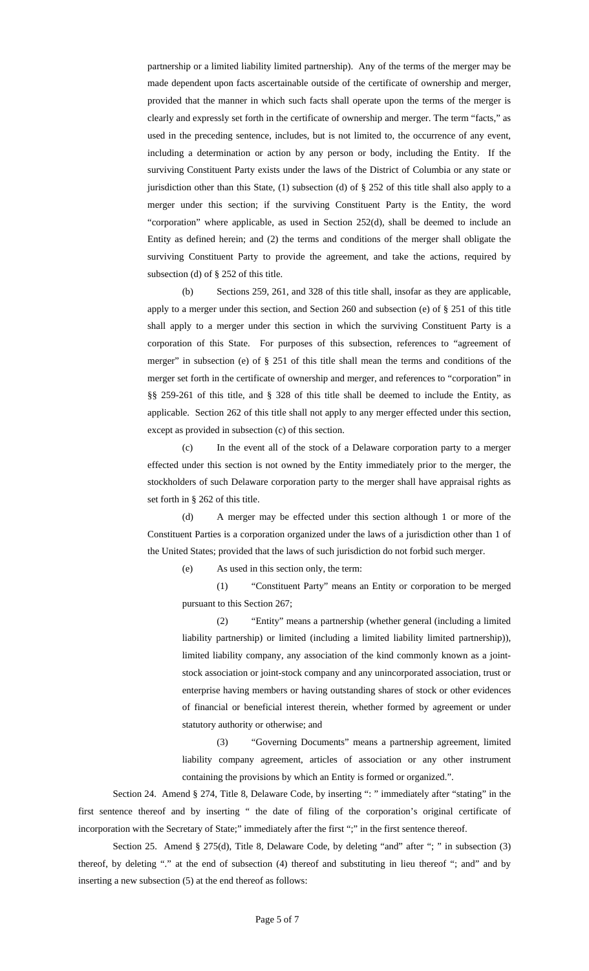partnership or a limited liability limited partnership). Any of the terms of the merger may be made dependent upon facts ascertainable outside of the certificate of ownership and merger, provided that the manner in which such facts shall operate upon the terms of the merger is clearly and expressly set forth in the certificate of ownership and merger. The term "facts," as used in the preceding sentence, includes, but is not limited to, the occurrence of any event, including a determination or action by any person or body, including the Entity. If the surviving Constituent Party exists under the laws of the District of Columbia or any state or jurisdiction other than this State, (1) subsection (d) of § 252 of this title shall also apply to a merger under this section; if the surviving Constituent Party is the Entity, the word "corporation" where applicable, as used in Section 252(d), shall be deemed to include an Entity as defined herein; and (2) the terms and conditions of the merger shall obligate the surviving Constituent Party to provide the agreement, and take the actions, required by subsection (d) of § 252 of this title.

(b) Sections 259, 261, and 328 of this title shall, insofar as they are applicable, apply to a merger under this section, and Section 260 and subsection (e) of § 251 of this title shall apply to a merger under this section in which the surviving Constituent Party is a corporation of this State. For purposes of this subsection, references to "agreement of merger" in subsection (e) of § 251 of this title shall mean the terms and conditions of the merger set forth in the certificate of ownership and merger, and references to "corporation" in §§ 259-261 of this title, and § 328 of this title shall be deemed to include the Entity, as applicable. Section 262 of this title shall not apply to any merger effected under this section, except as provided in subsection (c) of this section.

(c) In the event all of the stock of a Delaware corporation party to a merger effected under this section is not owned by the Entity immediately prior to the merger, the stockholders of such Delaware corporation party to the merger shall have appraisal rights as set forth in § 262 of this title.

(d) A merger may be effected under this section although 1 or more of the Constituent Parties is a corporation organized under the laws of a jurisdiction other than 1 of the United States; provided that the laws of such jurisdiction do not forbid such merger.

(e) As used in this section only, the term:

(1) "Constituent Party" means an Entity or corporation to be merged pursuant to this Section 267;

(2) "Entity" means a partnership (whether general (including a limited liability partnership) or limited (including a limited liability limited partnership)), limited liability company, any association of the kind commonly known as a jointstock association or joint-stock company and any unincorporated association, trust or enterprise having members or having outstanding shares of stock or other evidences of financial or beneficial interest therein, whether formed by agreement or under statutory authority or otherwise; and

(3) "Governing Documents" means a partnership agreement, limited liability company agreement, articles of association or any other instrument containing the provisions by which an Entity is formed or organized.".

Section 24. Amend § 274, Title 8, Delaware Code, by inserting ": " immediately after "stating" in the first sentence thereof and by inserting " the date of filing of the corporation's original certificate of incorporation with the Secretary of State;" immediately after the first ";" in the first sentence thereof.

Section 25. Amend § 275(d), Title 8, Delaware Code, by deleting "and" after "; " in subsection (3) thereof, by deleting "." at the end of subsection (4) thereof and substituting in lieu thereof "; and" and by inserting a new subsection (5) at the end thereof as follows: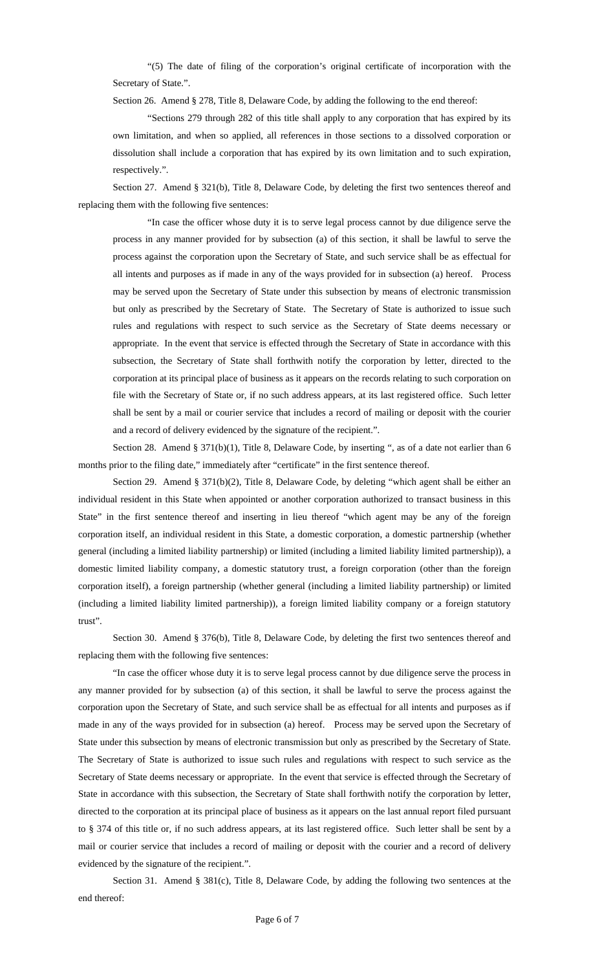"(5) The date of filing of the corporation's original certificate of incorporation with the Secretary of State.".

Section 26. Amend § 278, Title 8, Delaware Code, by adding the following to the end thereof:

"Sections 279 through 282 of this title shall apply to any corporation that has expired by its own limitation, and when so applied, all references in those sections to a dissolved corporation or dissolution shall include a corporation that has expired by its own limitation and to such expiration, respectively.".

Section 27. Amend § 321(b), Title 8, Delaware Code, by deleting the first two sentences thereof and replacing them with the following five sentences:

"In case the officer whose duty it is to serve legal process cannot by due diligence serve the process in any manner provided for by subsection (a) of this section, it shall be lawful to serve the process against the corporation upon the Secretary of State, and such service shall be as effectual for all intents and purposes as if made in any of the ways provided for in subsection (a) hereof. Process may be served upon the Secretary of State under this subsection by means of electronic transmission but only as prescribed by the Secretary of State. The Secretary of State is authorized to issue such rules and regulations with respect to such service as the Secretary of State deems necessary or appropriate. In the event that service is effected through the Secretary of State in accordance with this subsection, the Secretary of State shall forthwith notify the corporation by letter, directed to the corporation at its principal place of business as it appears on the records relating to such corporation on file with the Secretary of State or, if no such address appears, at its last registered office. Such letter shall be sent by a mail or courier service that includes a record of mailing or deposit with the courier and a record of delivery evidenced by the signature of the recipient.".

Section 28. Amend § 371(b)(1), Title 8, Delaware Code, by inserting ", as of a date not earlier than 6 months prior to the filing date," immediately after "certificate" in the first sentence thereof.

Section 29. Amend § 371(b)(2), Title 8, Delaware Code, by deleting "which agent shall be either an individual resident in this State when appointed or another corporation authorized to transact business in this State" in the first sentence thereof and inserting in lieu thereof "which agent may be any of the foreign corporation itself, an individual resident in this State, a domestic corporation, a domestic partnership (whether general (including a limited liability partnership) or limited (including a limited liability limited partnership)), a domestic limited liability company, a domestic statutory trust, a foreign corporation (other than the foreign corporation itself), a foreign partnership (whether general (including a limited liability partnership) or limited (including a limited liability limited partnership)), a foreign limited liability company or a foreign statutory trust".

Section 30. Amend § 376(b), Title 8, Delaware Code, by deleting the first two sentences thereof and replacing them with the following five sentences:

"In case the officer whose duty it is to serve legal process cannot by due diligence serve the process in any manner provided for by subsection (a) of this section, it shall be lawful to serve the process against the corporation upon the Secretary of State, and such service shall be as effectual for all intents and purposes as if made in any of the ways provided for in subsection (a) hereof. Process may be served upon the Secretary of State under this subsection by means of electronic transmission but only as prescribed by the Secretary of State. The Secretary of State is authorized to issue such rules and regulations with respect to such service as the Secretary of State deems necessary or appropriate. In the event that service is effected through the Secretary of State in accordance with this subsection, the Secretary of State shall forthwith notify the corporation by letter, directed to the corporation at its principal place of business as it appears on the last annual report filed pursuant to § 374 of this title or, if no such address appears, at its last registered office. Such letter shall be sent by a mail or courier service that includes a record of mailing or deposit with the courier and a record of delivery evidenced by the signature of the recipient.".

Section 31. Amend § 381(c), Title 8, Delaware Code, by adding the following two sentences at the end thereof: